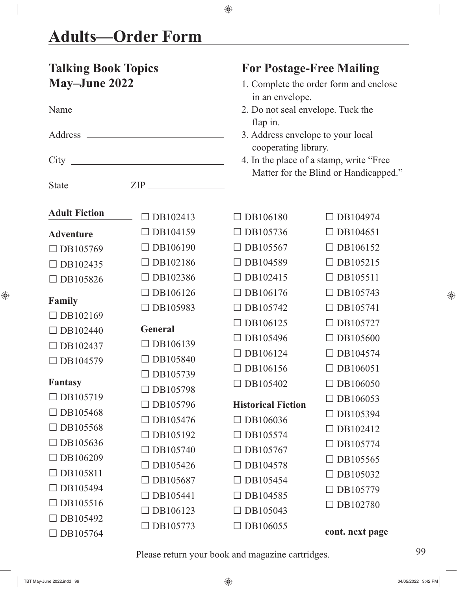$\bigoplus$ 

| <b>Talking Book Topics</b><br><b>May-June 2022</b> |                 | <b>For Postage-Free Mailing</b><br>1. Complete the order form and enclose<br>in an envelope.                     |                 |  |
|----------------------------------------------------|-----------------|------------------------------------------------------------------------------------------------------------------|-----------------|--|
|                                                    |                 | 2. Do not seal envelope. Tuck the                                                                                |                 |  |
|                                                    |                 | flap in.<br>3. Address envelope to your local<br>cooperating library.<br>4. In the place of a stamp, write "Free |                 |  |
|                                                    |                 | Matter for the Blind or Handicapped."                                                                            |                 |  |
| <b>Adult Fiction</b>                               | $\Box$ DB102413 | $\Box$ DB106180                                                                                                  | $\Box$ DB104974 |  |
| <b>Adventure</b>                                   | $\Box$ DB104159 | $\Box$ DB105736                                                                                                  | $\Box$ DB104651 |  |
| $\Box$ DB105769                                    | $\Box$ DB106190 | $\Box$ DB105567                                                                                                  | $\Box$ DB106152 |  |
| $\Box$ DB102435                                    | $\Box$ DB102186 | $\Box$ DB104589                                                                                                  | $\Box$ DB105215 |  |
| DB105826                                           | $\Box$ DB102386 | $\Box$ DB102415                                                                                                  | $\Box$ DB105511 |  |
|                                                    | $\Box$ DB106126 | $\Box$ DB106176                                                                                                  | $\Box$ DB105743 |  |
| Family<br>$\Box$ DB102169                          | $\Box$ DB105983 | $\Box$ DB105742                                                                                                  | $\Box$ DB105741 |  |
| $\Box$ DB102440                                    | <b>General</b>  | $\Box$ DB106125                                                                                                  | $\Box$ DB105727 |  |
| $\Box$ DB102437                                    | DB106139        | $\Box$ DB105496                                                                                                  | $\Box$ DB105600 |  |
| DB104579                                           | $\Box$ DB105840 | $\Box$ DB106124                                                                                                  | $\Box$ DB104574 |  |
|                                                    | DB105739        | $\Box$ DB106156                                                                                                  | $\Box$ DB106051 |  |
| <b>Fantasy</b>                                     | $\Box$ DB105798 | $\Box$ DB105402                                                                                                  | $\Box$ DB106050 |  |
| DB105719                                           | $\Box$ DB105796 | <b>Historical Fiction</b>                                                                                        | $\Box$ DB106053 |  |
| DB105468                                           | $\Box$ DB105476 | $\Box$ DB106036                                                                                                  | $\Box$ DB105394 |  |
| $\Box$ DB105568                                    | $\Box$ DB105192 | $\Box$ DB105574                                                                                                  | $\Box$ DB102412 |  |
| $\Box$ DB105636                                    | DB105740        | $\Box$ DB105767                                                                                                  | $\Box$ DB105774 |  |
| DB106209                                           | DB105426        | $\Box$ DB104578                                                                                                  | $\Box$ DB105565 |  |
| DB105811                                           | $\Box$ DB105687 | $\Box$ DB105454                                                                                                  | $\Box$ DB105032 |  |
| $\Box$ DB105494                                    | DB105441        | $\Box$ DB104585                                                                                                  | $\Box$ DB105779 |  |
| DB105516                                           | $\Box$ DB106123 | $\Box$ DB105043                                                                                                  | $\Box$ DB102780 |  |
| DB105492                                           | DB105773        | $\Box$ DB106055                                                                                                  | cont. next page |  |
| $\Box$ DB105764                                    |                 |                                                                                                                  |                 |  |

 $\bigoplus$ 

Please return your book and magazine cartridges. 99

 $\begin{array}{c} \hline \end{array}$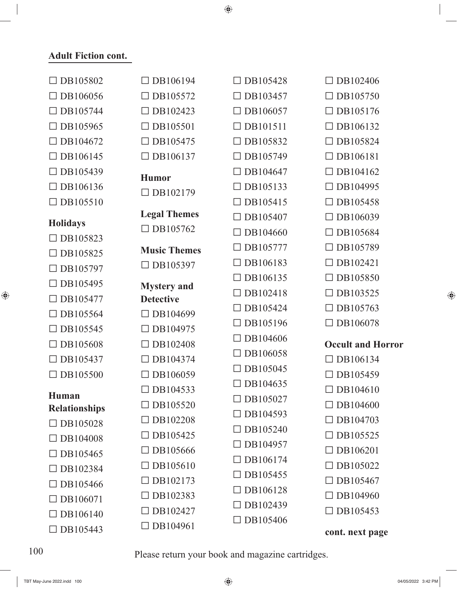$\bigoplus$ 

### **Adult Fiction cont.**

| $\Box$ DB105802                      | $\Box$ DB106194                        | $\Box$ DB105428 | $\Box$ DB102406          |
|--------------------------------------|----------------------------------------|-----------------|--------------------------|
| $\Box$ DB106056                      | $\Box$ DB105572                        | $\Box$ DB103457 | $\Box$ DB105750          |
| DB105744                             | $\Box$ DB102423                        | $\Box$ DB106057 | DB105176                 |
| $\Box$ DB105965                      | $\Box$ DB105501                        | $\Box$ DB101511 | $\Box$ DB106132          |
| DB104672                             | $\Box$ DB105475                        | DB105832        | $\Box$ DB105824          |
| $\Box$ DB106145                      | $\Box$ DB106137                        | $\Box$ DB105749 | $\Box$ DB106181          |
| DB105439                             | <b>Humor</b>                           | DB104647        | $\Box$ DB104162          |
| $\Box$ DB106136                      | $\Box$ DB102179                        | DB105133        | $\Box$ DB104995          |
| $\Box$ DB105510                      |                                        | $\Box$ DB105415 | $\Box$ DB105458          |
| <b>Holidays</b>                      | <b>Legal Themes</b>                    | DB105407        | $\Box$ DB106039          |
| $\Box$ DB105823                      | $\Box$ DB105762                        | DB104660        | DB105684                 |
| DB105825                             | <b>Music Themes</b>                    | $\Box$ DB105777 | $\Box$ DB105789          |
| $\Box$ DB105797                      | $\Box$ DB105397                        | DB106183        | DB102421                 |
| $\Box$ DB105495                      |                                        | DB106135        | $\Box$ DB105850          |
| DB105477                             | <b>Mystery</b> and<br><b>Detective</b> | $\Box$ DB102418 | $\Box$ DB103525          |
| DB105564                             | $\Box$ DB104699                        | DB105424        | DB105763                 |
| $\Box$ DB105545                      | $\Box$ DB104975                        | DB105196        | $\Box$ DB106078          |
| DB105608                             | $\Box$ DB102408                        | DB104606        | <b>Occult and Horror</b> |
| $\Box$ DB105437                      | DB104374                               | $\Box$ DB106058 | $\Box$ DB106134          |
| DB105500                             | DB106059                               | DB105045        | DB105459                 |
|                                      | $\Box$ DB104533                        | DB104635        | $\Box$ DB104610          |
| <b>Human</b><br><b>Relationships</b> | $\Box$ DB105520                        | $\Box$ DB105027 | $\Box$ DB104600          |
| $\Box$ DB105028                      | $\Box$ DB102208                        | $\Box$ DB104593 | DB104703                 |
| $\Box$ DB104008                      | $\Box$ DB105425                        | $\Box$ DB105240 | $\Box$ DB105525          |
| $\Box$ DB105465                      | DB105666                               | $\Box$ DB104957 | $\Box$ DB106201          |
| $\Box$ DB102384                      | $\Box$ DB105610                        | DB106174        | $\Box$ DB105022          |
| $\Box$ DB105466                      | $\Box$ DB102173                        | $\Box$ DB105455 | $\Box$ DB105467          |
| $\Box$ DB106071                      | $\Box$ DB102383                        | DB106128        | $\Box$ DB104960          |
| $\Box$ DB106140                      | DB102427                               | DB102439        | $\Box$ DB105453          |
| $\Box$ DB105443                      | $\Box$ DB104961                        | $\Box$ DB105406 |                          |
|                                      |                                        |                 | cont. next page          |

 $\bigoplus$ 

 $\begin{array}{c} \hline \end{array}$ 

100 Please return your book and magazine cartridges.

TBT May-June 2022.indd 100 04/05/2022 3:42 PM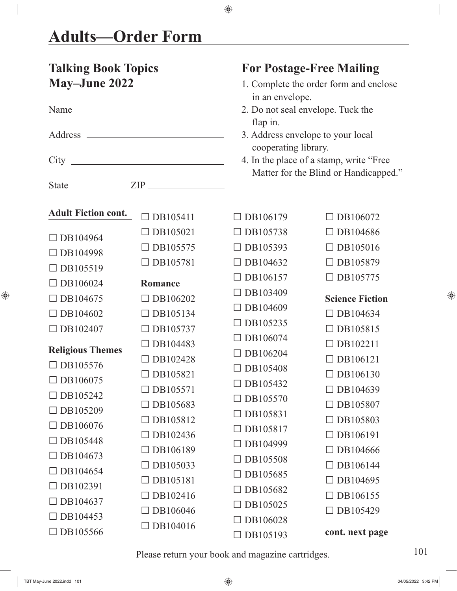$\begin{array}{c} \hline \end{array}$ 

 $\bigoplus$ 

| <b>Talking Book Topics</b><br><b>May-June 2022</b> |                 | <b>For Postage-Free Mailing</b><br>1. Complete the order form and enclose<br>in an envelope.<br>2. Do not seal envelope. Tuck the<br>flap in.<br>3. Address envelope to your local<br>cooperating library.<br>4. In the place of a stamp, write "Free<br>Matter for the Blind or Handicapped." |                        |  |
|----------------------------------------------------|-----------------|------------------------------------------------------------------------------------------------------------------------------------------------------------------------------------------------------------------------------------------------------------------------------------------------|------------------------|--|
| Name                                               |                 |                                                                                                                                                                                                                                                                                                |                        |  |
| <b>Adult Fiction cont.</b>                         | $\Box$ DB105411 | $\Box$ DB106179                                                                                                                                                                                                                                                                                | $\Box$ DB106072        |  |
| DB104964                                           | $\Box$ DB105021 | $\Box$ DB105738                                                                                                                                                                                                                                                                                | $\Box$ DB104686        |  |
| DB104998                                           | $\Box$ DB105575 | $\Box$ DB105393                                                                                                                                                                                                                                                                                | $\Box$ DB105016        |  |
| $\Box$ DB105519                                    | $\Box$ DB105781 | $\Box$ DB104632                                                                                                                                                                                                                                                                                | $\Box$ DB105879        |  |
| $\Box$ DB106024                                    | Romance         | $\Box$ DB106157                                                                                                                                                                                                                                                                                | $\Box$ DB105775        |  |
| DB104675                                           | $\Box$ DB106202 | $\Box$ DB103409                                                                                                                                                                                                                                                                                | <b>Science Fiction</b> |  |
| $\Box$ DB104602                                    | $\Box$ DB105134 | $\Box$ DB104609                                                                                                                                                                                                                                                                                | $\Box$ DB104634        |  |
| $\Box$ DB102407                                    | $\Box$ DB105737 | $\Box$ DB105235                                                                                                                                                                                                                                                                                | $\Box$ DB105815        |  |
|                                                    | $\Box$ DB104483 | $\Box$ DB106074                                                                                                                                                                                                                                                                                | $\Box$ DB102211        |  |
| <b>Religious Themes</b><br>$\Box$ DB105576         | $\Box$ DB102428 | $\Box$ DB106204                                                                                                                                                                                                                                                                                | $\Box$ DB106121        |  |
| DB106075                                           | DB105821        | $\Box$ DB105408                                                                                                                                                                                                                                                                                | DB106130               |  |
| $\Box$ DB105242                                    | $\Box$ DB105571 | $\Box$ DB105432                                                                                                                                                                                                                                                                                | $\Box$ DB104639        |  |
| DB105209                                           | $\Box$ DB105683 | $\Box$ DB105570                                                                                                                                                                                                                                                                                | $\Box$ DB105807        |  |
| DB106076                                           | $\Box$ DB105812 | $\Box$ DB105831                                                                                                                                                                                                                                                                                | $\Box$ DB105803        |  |
| DB105448                                           | DB102436        | $\Box$ DB105817                                                                                                                                                                                                                                                                                | $\Box$ DB106191        |  |
| DB104673                                           | $\Box$ DB106189 | $\Box$ DB104999                                                                                                                                                                                                                                                                                | $\Box$ DB104666        |  |
| DB104654                                           | DB105033        | $\Box$ DB105508<br>$\Box$ DB105685                                                                                                                                                                                                                                                             | DB106144               |  |
| DB102391                                           | $\Box$ DB105181 | $\Box$ DB105682                                                                                                                                                                                                                                                                                | $\Box$ DB104695        |  |
| DB104637                                           | DB102416        | $\Box$ DB105025                                                                                                                                                                                                                                                                                | DB106155               |  |
| DB104453                                           | $\Box$ DB106046 | DB106028                                                                                                                                                                                                                                                                                       | $\Box$ DB105429        |  |
| DB105566                                           | $\Box$ DB104016 | $\Box$ DB105193                                                                                                                                                                                                                                                                                | cont. next page        |  |

 $\bigoplus$ 

Please return your book and magazine cartridges. 101

 $\bigoplus$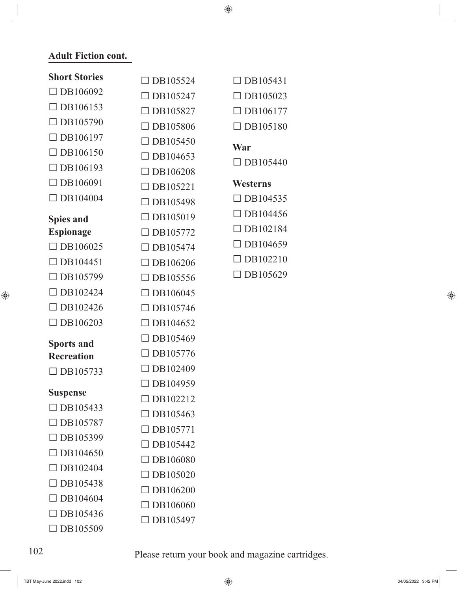$\bigoplus$ 

#### **Adult Fiction cont.**

 $\begin{array}{c} \hline \end{array}$ 

 $\bigoplus$ 

| <b>Short Stories</b>               | $\Box$ DB105524 | $\Box$ DB105431 |
|------------------------------------|-----------------|-----------------|
| $\Box$ DB106092                    | $\Box$ DB105247 | $\Box$ DB105023 |
| $\Box$ DB106153                    | $\Box$ DB105827 | $\Box$ DB106177 |
| $\Box$ DB105790                    | $\Box$ DB105806 | $\Box$ DB105180 |
| DB106197                           | $\Box$ DB105450 |                 |
| $\Box$ DB106150                    | $\Box$ DB104653 | War             |
| $\Box$ DB106193                    | $\Box$ DB106208 | $\Box$ DB105440 |
| DB106091                           | $\Box$ DB105221 | <b>Westerns</b> |
| DB104004                           | $\Box$ DB105498 | $\Box$ DB104535 |
| <b>Spies and</b>                   | $\Box$ DB105019 | $\Box$ DB104456 |
| <b>Espionage</b>                   | $\Box$ DB105772 | $\Box$ DB102184 |
| $\Box$ DB106025                    | $\Box$ DB105474 | $\Box$ DB104659 |
| DB104451                           | $\Box$ DB106206 | $\Box$ DB102210 |
| DB105799                           | $\Box$ DB105556 | $\Box$ DB105629 |
| DB102424                           | $\Box$ DB106045 |                 |
| $\Box$ DB102426                    | $\Box$ DB105746 |                 |
| $\Box$ DB106203                    | $\Box$ DB104652 |                 |
| <b>Sports and</b>                  | $\Box$ DB105469 |                 |
| <b>Recreation</b>                  | $\Box$ DB105776 |                 |
| $\Box$ DB105733                    | $\Box$ DB102409 |                 |
|                                    | $\Box$ DB104959 |                 |
| <b>Suspense</b><br>$\Box$ DB105433 | $\Box$ DB102212 |                 |
| $\Box$ DB105787                    | $\Box$ DB105463 |                 |
| DB105399                           | DB105771        |                 |
| $\Box$ DB104650                    | $\Box$ DB105442 |                 |
| $\Box$ DB102404                    | $\Box$ DB106080 |                 |
| DB105438                           | DB105020        |                 |
| DB104604                           | $\Box$ DB106200 |                 |
| DB105436                           | $\Box$ DB106060 |                 |
| DB105509                           | $\Box$ DB105497 |                 |
|                                    |                 |                 |

102 Please return your book and magazine cartridges.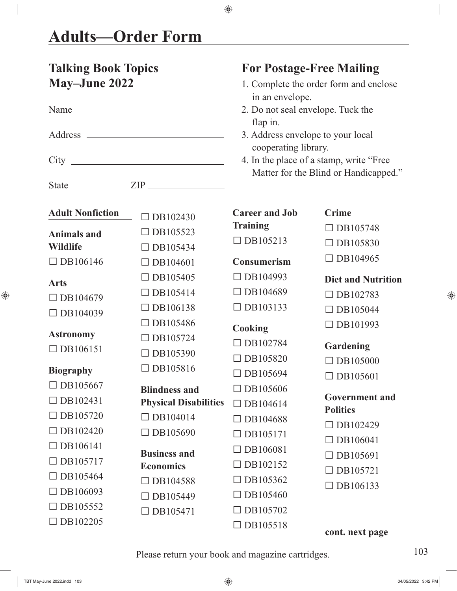#### **Talking Book Topics For Postage-Free Mailing May–June 2022** 1. Complete the order form and enclose in an envelope. Name 2. Do not seal envelope. Tuck the flap in. Address 3. Address envelope to your local cooperating library. City 4. In the place of a stamp, write "Free Matter for the Blind or Handicapped." State **ZIP Adult Nonfiction Animals and Wildlife**  $\Box$  DB106146 **Arts**  $\Box$  DB104679  $\Box$  DB104039 **Astronomy**  $\Box$  DB106151 **Biography**  $\Box$  DB105667  $\Box$  DB102431  $\Box$ DB105720  $\Box$ DB102420  $\Box$  DB106141  $\Box$  DB105717  $\Box$  DB105464  $\Box$  DB106093  $\n **DR105552**\n$  $\Box$ DB102205  $\Box$  DB102430  $\Box$  DB105523  $\Box$  DB105434  $\Box$  DB104601 □ DB105405  $\Box$  DB105414  $\square$  DB106138  $\n **DB105486**\n$  $\Box$ DB105724  $\Box$  DB105390 □ DB105816 **Blindness and Physical Disabilities**  $\square$  DB104014  $\Box$  DB105690 **Business and Economics**  $\Box$  DB104588  $\Box$  DB105449  $\Box$  DB105471 **Career and Job Training**  $\Box$  DB105213 **Consumerism**  $\Box$  DB104993  $\Box$  DB104689  $\Box$  DB103133 **Cooking**  $\square$  DB102784  $\Box$  DB105820  $\square$  DB105694 □ DB105606  $\Box$  DB104614  $\square$  DB104688  $\Box$  DB105171  $\n **DB106081**\n$  $\Box$ DB102152  $\Box$  DB105362  $\Box$ DB105460  $\Box$  DB105702  $\Box$  DB105518 **Crime**  $\Box$  DB105748  $\Box$  DB105830  $\square$  DB104965 **Diet and Nutrition**  $\Box$  DB102783  $\n **DB105044**\n$ □ DB101993 **Gardening**  $\Box$  DB105000  $\n **DB105601**\n$ **Government and Politics**  $\Box$  DB102429  $\Box$  DB106041  $\Box$  DB105691  $\Box$  DB105721  $\Box$  DB106133 **cont. next page**

◈

Please return your book and magazine cartridges. 103

◈

⊕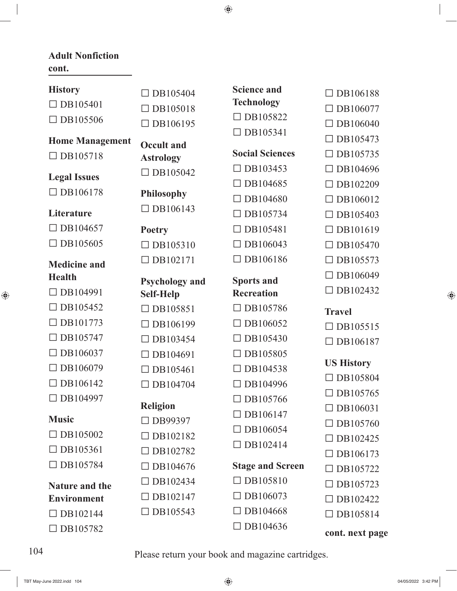$\bigoplus$ 

#### **Adult Nonfiction cont.**

| <b>History</b>         | $\Box$ DB105404       | <b>Science and</b>      | $\Box$ DB106188   |
|------------------------|-----------------------|-------------------------|-------------------|
| $\Box$ DB105401        | $\Box$ DB105018       | <b>Technology</b>       | $\Box$ DB106077   |
| $\Box$ DB105506        | $\Box$ DB106195       | $\Box$ DB105822         | $\Box$ DB106040   |
| <b>Home Management</b> |                       | $\Box$ DB105341         | $\Box$ DB105473   |
| $\Box$ DB105718        | <b>Occult and</b>     | <b>Social Sciences</b>  | $\Box$ DB105735   |
|                        | <b>Astrology</b>      | $\Box$ DB103453         | $\Box$ DB104696   |
| <b>Legal Issues</b>    | $\Box$ DB105042       | DB104685                | $\Box$ DB102209   |
| $\Box$ DB106178        | <b>Philosophy</b>     | $\Box$ DB104680         | $\Box$ DB106012   |
| Literature             | $\Box$ DB106143       | $\Box$ DB105734         | $\Box$ DB105403   |
| DB104657               | <b>Poetry</b>         | DB105481                | $\Box$ DB101619   |
| $\Box$ DB105605        | $\Box$ DB105310       | $\Box$ DB106043         | $\Box$ DB105470   |
|                        |                       | $\Box$ DB106186         |                   |
| <b>Medicine and</b>    | DB102171              |                         | $\Box$ DB105573   |
| <b>Health</b>          | <b>Psychology and</b> | <b>Sports and</b>       | $\Box$ DB106049   |
| $\Box$ DB104991        | <b>Self-Help</b>      | <b>Recreation</b>       | $\Box$ DB102432   |
| DB105452               | $\Box$ DB105851       | $\Box$ DB105786         | <b>Travel</b>     |
| DB101773               | $\Box$ DB106199       | DB106052                | $\Box$ DB105515   |
| $\Box$ DB105747        | $\Box$ DB103454       | $\Box$ DB105430         | $\Box$ DB106187   |
| DB106037               | $\Box$ DB104691       | DB105805                |                   |
| DB106079               | $\Box$ DB105461       | $\Box$ DB104538         | <b>US History</b> |
| DB106142               | $\Box$ DB104704       | DB104996                | $\Box$ DB105804   |
| DB104997               |                       | DB105766                | $\Box$ DB105765   |
| <b>Music</b>           | <b>Religion</b>       | $\Box$ DB106147         | $\Box$ DB106031   |
|                        | DB99397               | $\Box$ DB106054         | $\Box$ DB105760   |
| DB105002               | DB102182              | $\Box$ DB102414         | $\Box$ DB102425   |
| $\Box$ DB105361        | $\Box$ DB102782       |                         | $\Box$ DB106173   |
| $\Box$ DB105784        | $\Box$ DB104676       | <b>Stage and Screen</b> | $\Box$ DB105722   |
| <b>Nature and the</b>  | DB102434              | $\Box$ DB105810         | $\Box$ DB105723   |
| <b>Environment</b>     | $\Box$ DB102147       | $\Box$ DB106073         | $\Box$ DB102422   |
| $\Box$ DB102144        | $\Box$ DB105543       | $\Box$ DB104668         | $\Box$ DB105814   |
| $\Box$ DB105782        |                       | $\Box$ DB104636         | cont. next page   |

 $\bigoplus$ 

 $\begin{array}{c} \hline \end{array}$ 

 $\bigoplus$ 

104 Please return your book and magazine cartridges.

TBT May-June 2022.indd 104 04/05/2022 3:42 PM